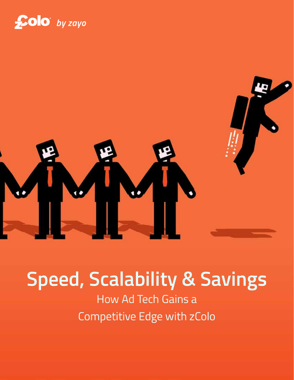



# **Speed, Scalability & Savings**

How Ad Tech Gains a Competitive Edge with zColo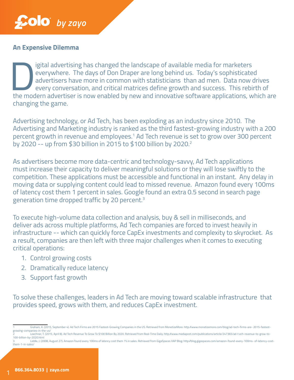

### **An Expensive Dilemma**

Igital advertising has changed the landscape of available media for marketers<br>everywhere. The days of Don Draper are long behind us. Today's sophisticate<br>advertisers have more in common with statisticians than ad men. Data everywhere. The days of Don Draper are long behind us. Today's sophisticated advertisers have more in common with statisticians than ad men. Data now drives every conversation, and critical matrices define growth and success. This rebirth of the modern advertiser is now enabled by new and innovative software applications, which are changing the game.

Advertising technology, or Ad Tech, has been exploding as an industry since 2010. The Advertising and Marketing industry is ranked as the third fastest-growing industry with a 200 percent growth in revenue and employees.<sup>1</sup> Ad Tech revenue is set to grow over 300 percent by 2020 -- up from \$30 billion in 2015 to \$100 billion by 2020.2

As advertisers become more data-centric and technology-savvy, Ad Tech applications must increase their capacity to deliver meaningful solutions or they will lose swiftly to the competition. These applications must be accessible and functional in an instant. Any delay in moving data or supplying content could lead to missed revenue. Amazon found every 100ms of latency cost them 1 percent in sales. Google found an extra 0.5 second in search page generation time dropped traffic by 20 percent.3

To execute high-volume data collection and analysis, buy & sell in milliseconds, and deliver ads across multiple platforms, Ad Tech companies are forced to invest heavily in infrastructure -- which can quickly force CapEx investments and complexity to skyrocket. As a result, companies are then left with three major challenges when it comes to executing critical operations:

- 1. Control growing costs
- 2. Dramatically reduce latency
- 3. Support fast growth

To solve these challenges, leaders in Ad Tech are moving toward scalable infrastructure that provides speed, grows with them, and reduces CapEx investment.

100-billion-by-2020.html 3 Liddle, J. (2008, August 27). Amazon found every 100ms of latency cost them 1% in sales. Retrieved from GigaSpaces XAP Blog: http://blog.gigaspaces.com/amazon-found-every-100ms- of-latency-cost-1-in-sales/

<sup>1</sup> Graham, K. (2015, September 4). Ad Tech Firms are 2015 Fastest-Growing Companies in the US. Retrieved from MonetizeMore: http://www.monetizemore.com/blog/ad-tech-firms-are- 2015-fastestompanies-in-the-us/<br>Loechner, T. (2015, April 8), Ad Tech Re

nue To Grow To \$100 Billion By 2020. Retrieved from Real-Time Daily: http://www.mediapost.com/publications/article/247365/ad-t ech-re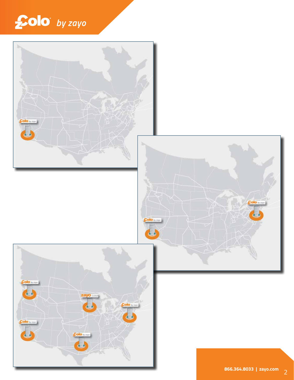

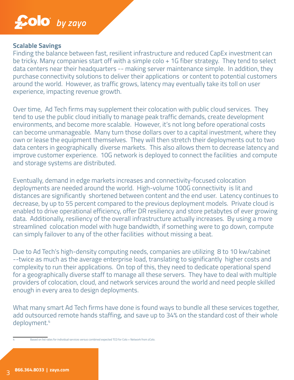### **Scalable Savings**

Finding the balance between fast, resilient infrastructure and reduced CapEx investment can be tricky. Many companies start off with a simple colo + 1G fiber strategy. They tend to select data centers near their headquarters -- making server maintenance simple. In addition, they purchase connectivity solutions to deliver their applications or content to potential customers around the world. However, as traffic grows, latency may eventually take its toll on user experience, impacting revenue growth.

Over time, Ad Tech firms may supplement their colocation with public cloud services. They tend to use the public cloud initially to manage peak traffic demands, create development environments, and become more scalable. However, it's not long before operational costs can become unmanageable. Many turn those dollars over to a capital investment, where they own or lease the equipment themselves. They will then stretch their deployments out to two data centers in geographically diverse markets. This also allows them to decrease latency and improve customer experience. 10G network is deployed to connect the facilities and compute and storage systems are distributed.

Eventually, demand in edge markets increases and connectivity-focused colocation deployments are needed around the world. High-volume 100G connectivity is lit and distances are significantly shortened between content and the end user. Latency continues to decrease, by up to 55 percent compared to the previous deployment models. Private cloud is enabled to drive operational efficiency, offer DR resiliency and store petabytes of ever growing data. Additionally, resiliency of the overall infrastructure actually increases. By using a more streamlined colocation model with huge bandwidth, if something were to go down, compute can simply failover to any of the other facilities without missing a beat.

Due to Ad Tech's high-density computing needs, companies are utilizing 8 to 10 kw/cabinet --twice as much as the average enterprise load, translating to significantly higher costs and complexity to run their applications. On top of this, they need to dedicate operational spend for a geographically diverse staff to manage all these servers. They have to deal with multiple providers of colocation, cloud, and network services around the world and need people skilled enough in every area to design deployments.

What many smart Ad Tech firms have done is found ways to bundle all these services together, add outsourced remote hands staffing, and save up to 34% on the standard cost of their whole deployment.<sup>4</sup>

Based on list rates for individual services versus combined expected TCO for Colo + Network from zColo.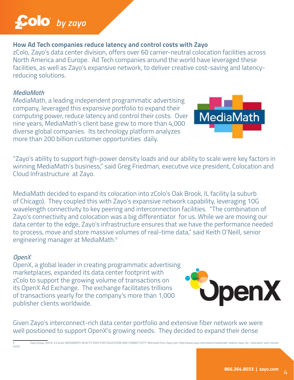### **How Ad Tech companies reduce latency and control costs with Zayo**

zColo, Zayo's data center division, offers over 60 carrier-neutral colocation facilities across North America and Europe. Ad Tech companies around the world have leveraged these facilities, as well as Zayo's expansive network, to deliver creative cost-saving and latencyreducing solutions.

### *MediaMath*

MediaMath, a leading independent programmatic advertising company, leveraged this expansive portfolio to expand their computing power, reduce latency and control their costs. Over nine years, MediaMath's client base grew to more than 4,000 diverse global companies. Its technology platform analyzes more than 200 billion customer opportunities daily.



"Zayo's ability to support high-power density loads and our ability to scale were key factors in winning MediaMath's business," said Greg Friedman, executive vice president, Colocation and Cloud Infrastructure at Zayo.

MediaMath decided to expand its colocation into zColo's Oak Brook, IL facility (a suburb of Chicago). They coupled this with Zayo's expansive network capability, leveraging 10G wavelength connectivity to key peering and interconnection facilities. "The combination of Zayo's connectivity and colocation was a big differentiator for us. While we are moving our data center to the edge, Zayo's infrastructure ensures that we have the performance needed to process, move and store massive volumes of real-time data," said Keith O'Neill, senior engineering manager at MediaMath.5

### *OpenX*

OpenX, a global leader in creating programmatic advertising marketplaces, expanded its data center footprint with zColo to support the growing volume of transactions on its OpenX Ad Exchange. The exchange facilitates trillions of transactions yearly for the company's more than 1,000 publisher clients worldwide.



Given Zayo's interconnect-rich data center portfolio and extensive fiber network we were well positioned to support OpenX's growing needs. They decided to expand their dense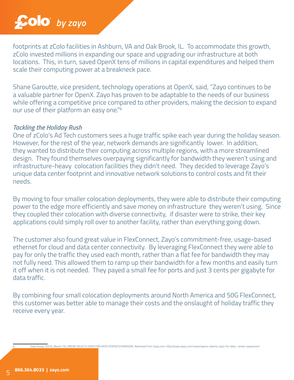footprints at zColo facilities in Ashburn, VA and Oak Brook, IL. To accommodate this growth, zColo invested millions in expanding our space and upgrading our infrastructure at both locations. This, in turn, saved OpenX tens of millions in capital expenditures and helped them scale their computing power at a breakneck pace.

Shane Garoutte, vice president, technology operations at OpenX, said, "Zayo continues to be a valuable partner for OpenX. Zayo has proven to be adaptable to the needs of our business while offering a competitive price compared to other providers, making the decision to expand our use of their platform an easy one."6

#### *Tackling the Holiday Rush*

One of zColo's Ad Tech customers sees a huge traffic spike each year during the holiday season. However, for the rest of the year, network demands are significantly lower. In addition, they wanted to distribute their computing across multiple regions, with a more streamlined design. They found themselves overpaying significantly for bandwidth they weren't using and infrastructure-heavy colocation facilities they didn't need. They decided to leverage Zayo's unique data center footprint and innovative network solutions to control costs and fit their needs.

By moving to four smaller colocation deployments, they were able to distribute their computing power to the edge more efficiently and save money on infrastructure they weren't using. Since they coupled their colocation with diverse connectivity, if disaster were to strike, their key applications could simply roll over to another facility, rather than everything going down.

The customer also found great value in FlexConnect, Zayo's commitment-free, usage-based ethernet for cloud and data center connectivity. By leveraging FlexConnect they were able to pay for only the traffic they used each month, rather than a flat fee for bandwidth they may not fully need. This allowed them to ramp up their bandwidth for a few months and easily turn it off when it is not needed. They payed a small fee for ports and just 3 cents per gigabyte for data traffic.

By combining four small colocation deployments around North America and 50G FlexConnect, this customer was better able to manage their costs and the onslaught of holiday traffic they receive every year.

Zayo Group. (2016, March 15). OPENX SELECTS ZAYO FOR DATA CENTER EXPANSION. Retrieved from Zayo.com: http://www.zayo.com/news/openx-selects-zayo-for-data- center-expansion,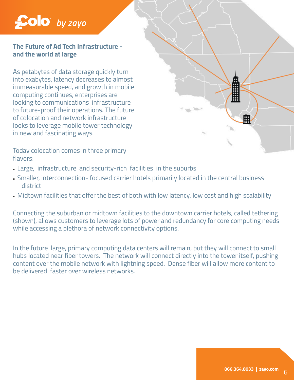### **The Future of Ad Tech Infrastructure and the world at large**

As petabytes of data storage quickly turn into exabytes, latency decreases to almost immeasurable speed, and growth in mobile computing continues, enterprises are looking to communications infrastructure to future-proof their operations. The future of colocation and network infrastructure looks to leverage mobile tower technology in new and fascinating ways.

Today colocation comes in three primary flavors:

- Large, infrastructure and security-rich facilities in the suburbs
- Smaller, interconnection- focused carrier hotels primarily located in the central business district
- Midtown facilities that offer the best of both with low latency, low cost and high scalability

Connecting the suburban or midtown facilities to the downtown carrier hotels, called tethering (shown), allows customers to leverage lots of power and redundancy for core computing needs while accessing a plethora of network connectivity options.

In the future large, primary computing data centers will remain, but they will connect to small hubs located near fiber towers. The network will connect directly into the tower itself, pushing content over the mobile network with lightning speed. Dense fiber will allow more content to be delivered faster over wireless networks.

備

冊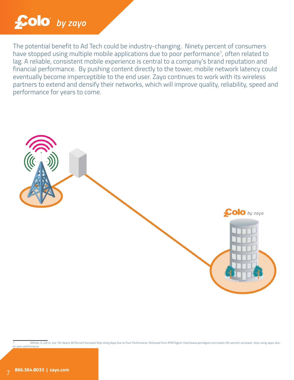

The potential benefit to Ad Tech could be industry-changing. Ninety percent of consumers have stopped using multiple mobile applications due to poor performance<sup>7</sup>, often related to lag. A reliable, consistent mobile experience is central to a company's brand reputation and financial performance. By pushing content directly to the tower, mobile network latency could eventually become imperceptible to the end user. Zayo continues to work with its wireless partners to extend and densify their networks, which will improve quality, reliability, speed and performance for years to come.



7 Whittle, D. (2014, July 16). Nearly 90 Percent Surveyed Stop Using Apps Due to Poor Performance. Retrieved from APM Digest: http://www.apmdigest.com/nearly-90-percent-surveyed- stop-using-apps-dueto-poor-performance